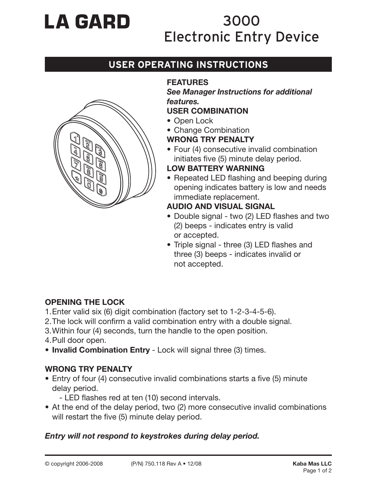# **LA GARD**

# 3000 Electronic Entry Device

# **USER OPERATING INSTRUCTIONS**



# **FEATURES**

*See Manager Instructions for additional features.*

#### **USER COMBINATION**

- Open Lock
- Change Combination

## **WRONG TRY PENALTY**

• Four (4) consecutive invalid combination initiates five (5) minute delay period.

#### **LOW BATTERY WARNING**

• Repeated LED flashing and beeping during opening indicates battery is low and needs immediate replacement.

#### **AUDIO AND VISUAL SIGNAL**

- Double signal two (2) LED flashes and two (2) beeps - indicates entry is valid or accepted.
- Triple signal three (3) LED flashes and three (3) beeps - indicates invalid or not accepted.

## **OPENING THE LOCK**

- 1. Enter valid six (6) digit combination (factory set to 1-2-3-4-5-6).
- 2. The lock will confirm a valid combination entry with a double signal.
- 3. Within four (4) seconds, turn the handle to the open position.
- 4. Pull door open.
- **Invalid Combination Entry** Lock will signal three (3) times.

## **WRONG TRY PENALTY**

- Entry of four (4) consecutive invalid combinations starts a five (5) minute delay period.
	- LED flashes red at ten (10) second intervals.
- At the end of the delay period, two (2) more consecutive invalid combinations will restart the five (5) minute delay period.

#### *Entry will not respond to keystrokes during delay period.*